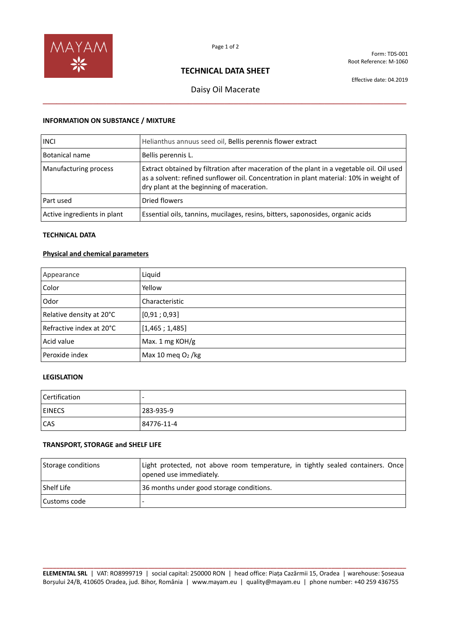

Form: TDS-001 Root Reference: M-1060

## **TECHNICAL DATA SHEET**

Effective date: 04.2019

# Daisy Oil Macerate **\_\_\_\_\_\_\_\_\_\_\_\_\_\_\_\_\_\_\_\_\_\_\_\_\_\_\_\_\_\_\_\_\_\_\_\_\_\_\_\_\_\_\_\_\_\_\_\_\_\_\_\_\_\_\_\_\_\_\_\_\_\_\_\_\_\_\_\_\_\_\_\_\_\_\_\_\_\_\_\_**

#### **INFORMATION ON SUBSTANCE / MIXTURE**

| <b>INCI</b>                 | Helianthus annuus seed oil, Bellis perennis flower extract                                                                                                                                                                       |
|-----------------------------|----------------------------------------------------------------------------------------------------------------------------------------------------------------------------------------------------------------------------------|
| Botanical name              | Bellis perennis L.                                                                                                                                                                                                               |
| Manufacturing process       | Extract obtained by filtration after maceration of the plant in a vegetable oil. Oil used<br>as a solvent: refined sunflower oil. Concentration in plant material: 10% in weight of<br>dry plant at the beginning of maceration. |
| Part used                   | Dried flowers                                                                                                                                                                                                                    |
| Active ingredients in plant | Essential oils, tannins, mucilages, resins, bitters, saponosides, organic acids                                                                                                                                                  |

#### **TECHNICAL DATA**

#### **Physical and chemical parameters**

| Appearance               | Liquid              |
|--------------------------|---------------------|
| Color                    | Yellow              |
| Odor                     | Characteristic      |
| Relative density at 20°C | [0,91;0,93]         |
| Refractive index at 20°C | [1,465;1,485]       |
| Acid value               | Max. 1 mg KOH/g     |
| Peroxide index           | Max 10 meg $O2$ /kg |

### **LEGISLATION**

| Certification |            |
|---------------|------------|
| <b>EINECS</b> | 283-935-9  |
| <b>CAS</b>    | 84776-11-4 |

#### **TRANSPORT, STORAGE and SHELF LIFE**

| Storage conditions | Light protected, not above room temperature, in tightly sealed containers. Once<br>opened use immediately. |
|--------------------|------------------------------------------------------------------------------------------------------------|
| <b>Shelf Life</b>  | 36 months under good storage conditions.                                                                   |
| Customs code       |                                                                                                            |